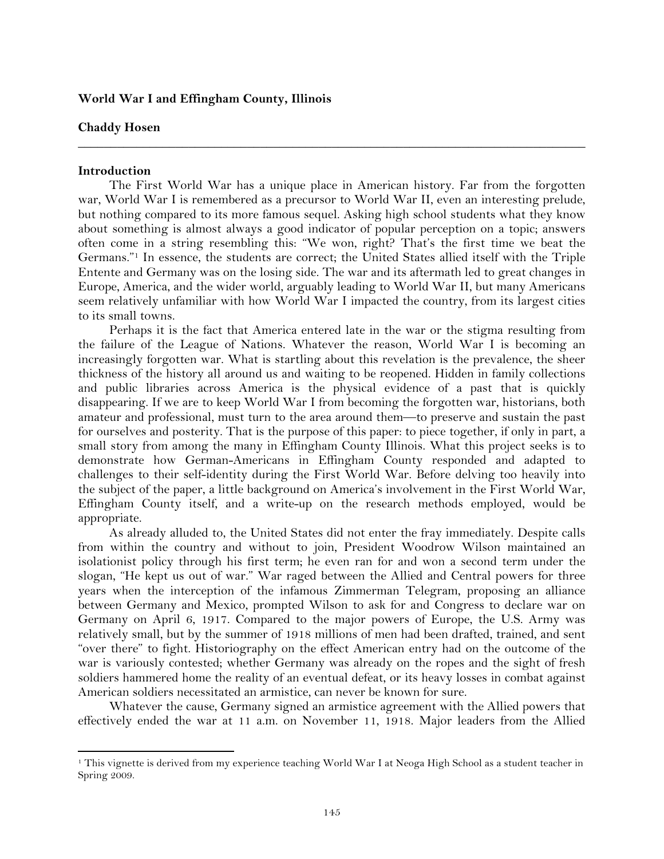### **World War I and Effingham County, Illinois**

#### **Chaddy Hosen**

#### **Introduction**

!!!!!!!!!!!!!!!!!!!!!!!!!!!!!!!!!!!!!!!!!!!!!!!!!!!!!!!!!!!!

The First World War has a unique place in American history. Far from the forgotten war, World War I is remembered as a precursor to World War II, even an interesting prelude, but nothing compared to its more famous sequel. Asking high school students what they know about something is almost always a good indicator of popular perception on a topic; answers often come in a string resembling this: "We won, right? That's the first time we beat the Germans."1 In essence, the students are correct; the United States allied itself with the Triple Entente and Germany was on the losing side. The war and its aftermath led to great changes in Europe, America, and the wider world, arguably leading to World War II, but many Americans seem relatively unfamiliar with how World War I impacted the country, from its largest cities to its small towns.

**\_\_\_\_\_\_\_\_\_\_\_\_\_\_\_\_\_\_\_\_\_\_\_\_\_\_\_\_\_\_\_\_\_\_\_\_\_\_\_\_\_\_\_\_\_\_\_\_\_\_\_\_\_\_\_\_\_\_\_\_\_\_\_\_\_\_\_\_\_\_\_\_\_\_\_\_\_\_**

Perhaps it is the fact that America entered late in the war or the stigma resulting from the failure of the League of Nations. Whatever the reason, World War I is becoming an increasingly forgotten war. What is startling about this revelation is the prevalence, the sheer thickness of the history all around us and waiting to be reopened. Hidden in family collections and public libraries across America is the physical evidence of a past that is quickly disappearing. If we are to keep World War I from becoming the forgotten war, historians, both amateur and professional, must turn to the area around them—to preserve and sustain the past for ourselves and posterity. That is the purpose of this paper: to piece together, if only in part, a small story from among the many in Effingham County Illinois. What this project seeks is to demonstrate how German-Americans in Effingham County responded and adapted to challenges to their self-identity during the First World War. Before delving too heavily into the subject of the paper, a little background on America's involvement in the First World War, Effingham County itself, and a write-up on the research methods employed, would be appropriate.

As already alluded to, the United States did not enter the fray immediately. Despite calls from within the country and without to join, President Woodrow Wilson maintained an isolationist policy through his first term; he even ran for and won a second term under the slogan, "He kept us out of war." War raged between the Allied and Central powers for three years when the interception of the infamous Zimmerman Telegram, proposing an alliance between Germany and Mexico, prompted Wilson to ask for and Congress to declare war on Germany on April 6, 1917. Compared to the major powers of Europe, the U.S. Army was relatively small, but by the summer of 1918 millions of men had been drafted, trained, and sent "over there" to fight. Historiography on the effect American entry had on the outcome of the war is variously contested; whether Germany was already on the ropes and the sight of fresh soldiers hammered home the reality of an eventual defeat, or its heavy losses in combat against American soldiers necessitated an armistice, can never be known for sure.

Whatever the cause, Germany signed an armistice agreement with the Allied powers that effectively ended the war at 11 a.m. on November 11, 1918. Major leaders from the Allied

<sup>1</sup> This vignette is derived from my experience teaching World War I at Neoga High School as a student teacher in Spring 2009.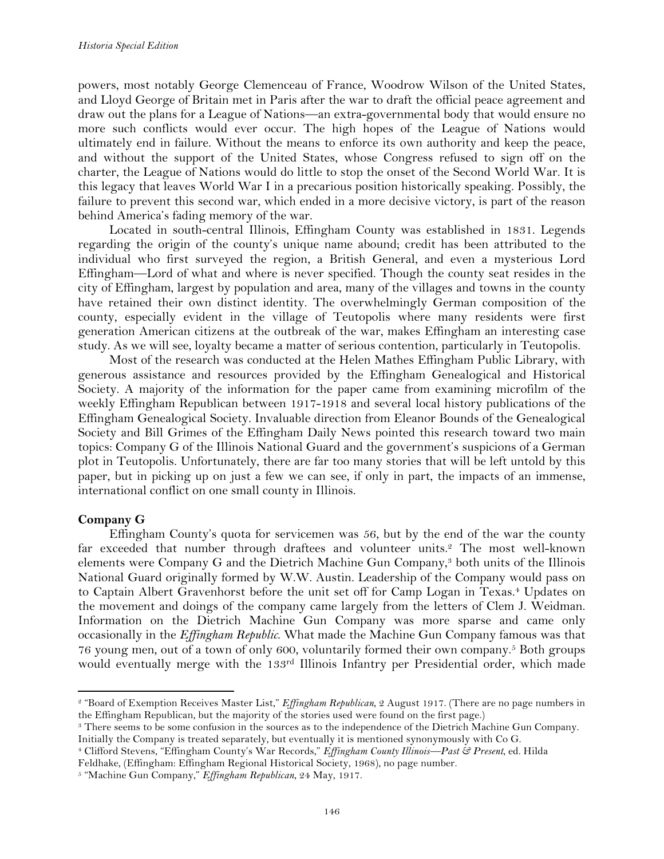powers, most notably George Clemenceau of France, Woodrow Wilson of the United States, and Lloyd George of Britain met in Paris after the war to draft the official peace agreement and draw out the plans for a League of Nations—an extra-governmental body that would ensure no more such conflicts would ever occur. The high hopes of the League of Nations would ultimately end in failure. Without the means to enforce its own authority and keep the peace, and without the support of the United States, whose Congress refused to sign off on the charter, the League of Nations would do little to stop the onset of the Second World War. It is this legacy that leaves World War I in a precarious position historically speaking. Possibly, the failure to prevent this second war, which ended in a more decisive victory, is part of the reason behind America's fading memory of the war.

Located in south-central Illinois, Effingham County was established in 1831. Legends regarding the origin of the county's unique name abound; credit has been attributed to the individual who first surveyed the region, a British General, and even a mysterious Lord Effingham—Lord of what and where is never specified. Though the county seat resides in the city of Effingham, largest by population and area, many of the villages and towns in the county have retained their own distinct identity. The overwhelmingly German composition of the county, especially evident in the village of Teutopolis where many residents were first generation American citizens at the outbreak of the war, makes Effingham an interesting case study. As we will see, loyalty became a matter of serious contention, particularly in Teutopolis.

Most of the research was conducted at the Helen Mathes Effingham Public Library, with generous assistance and resources provided by the Effingham Genealogical and Historical Society. A majority of the information for the paper came from examining microfilm of the weekly Effingham Republican between 1917-1918 and several local history publications of the Effingham Genealogical Society. Invaluable direction from Eleanor Bounds of the Genealogical Society and Bill Grimes of the Effingham Daily News pointed this research toward two main topics: Company G of the Illinois National Guard and the government's suspicions of a German plot in Teutopolis. Unfortunately, there are far too many stories that will be left untold by this paper, but in picking up on just a few we can see, if only in part, the impacts of an immense, international conflict on one small county in Illinois.

## **Company G**

!!!!!!!!!!!!!!!!!!!!!!!!!!!!!!!!!!!!!!!!!!!!!!!!!!!!!!!!!!!!

Effingham County's quota for servicemen was 56, but by the end of the war the county far exceeded that number through draftees and volunteer units.<sup>2</sup> The most well-known elements were Company G and the Dietrich Machine Gun Company,3 both units of the Illinois National Guard originally formed by W.W. Austin. Leadership of the Company would pass on to Captain Albert Gravenhorst before the unit set off for Camp Logan in Texas.4 Updates on the movement and doings of the company came largely from the letters of Clem J. Weidman. Information on the Dietrich Machine Gun Company was more sparse and came only occasionally in the *Effingham Republic*. What made the Machine Gun Company famous was that 76 young men, out of a town of only 600, voluntarily formed their own company.5 Both groups would eventually merge with the 133rd Illinois Infantry per Presidential order, which made

<sup>2</sup> "Board of Exemption Receives Master List," *Effingham Republican*, 2 August 1917. (There are no page numbers in the Effingham Republican, but the majority of the stories used were found on the first page.)

<sup>3</sup> There seems to be some confusion in the sources as to the independence of the Dietrich Machine Gun Company.

Initially the Company is treated separately, but eventually it is mentioned synonymously with Co G.

<sup>4</sup> Clifford Stevens, "Effingham County's War Records," *Effingham County Illinois—Past & Present*, ed. Hilda

Feldhake, (Effingham: Effingham Regional Historical Society, 1968), no page number.

<sup>5</sup> "Machine Gun Company," *Effingham Republican*, 24 May, 1917.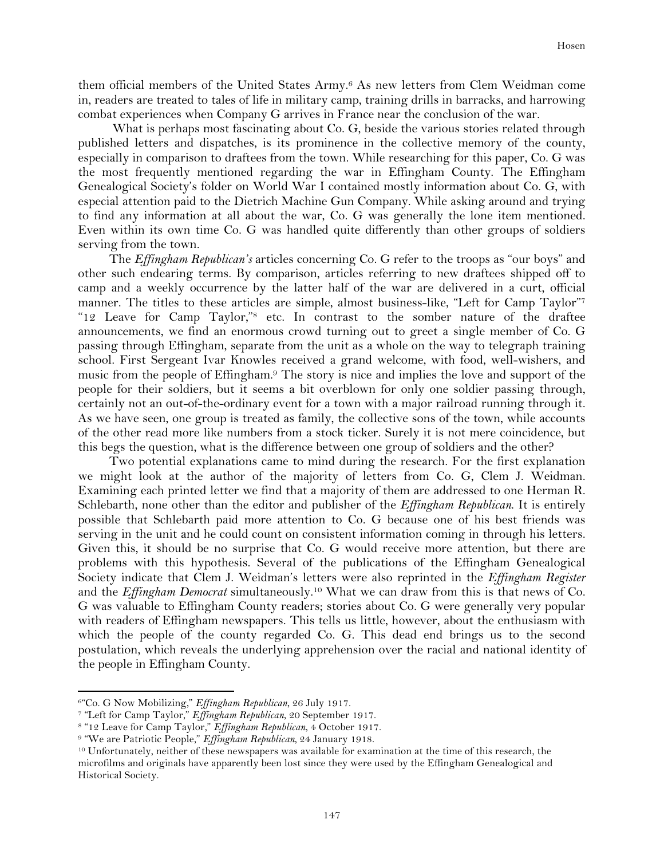them official members of the United States Army.6 As new letters from Clem Weidman come in, readers are treated to tales of life in military camp, training drills in barracks, and harrowing combat experiences when Company G arrives in France near the conclusion of the war.

What is perhaps most fascinating about Co. G, beside the various stories related through published letters and dispatches, is its prominence in the collective memory of the county, especially in comparison to draftees from the town. While researching for this paper, Co. G was the most frequently mentioned regarding the war in Effingham County. The Effingham Genealogical Society's folder on World War I contained mostly information about Co. G, with especial attention paid to the Dietrich Machine Gun Company. While asking around and trying to find any information at all about the war, Co. G was generally the lone item mentioned. Even within its own time Co. G was handled quite differently than other groups of soldiers serving from the town.

The *Effingham Republican's* articles concerning Co. G refer to the troops as "our boys" and other such endearing terms. By comparison, articles referring to new draftees shipped off to camp and a weekly occurrence by the latter half of the war are delivered in a curt, official manner. The titles to these articles are simple, almost business-like, "Left for Camp Taylor"<sup>7</sup> "12 Leave for Camp Taylor,"8 etc. In contrast to the somber nature of the draftee announcements, we find an enormous crowd turning out to greet a single member of Co. G passing through Effingham, separate from the unit as a whole on the way to telegraph training school. First Sergeant Ivar Knowles received a grand welcome, with food, well-wishers, and music from the people of Effingham.9 The story is nice and implies the love and support of the people for their soldiers, but it seems a bit overblown for only one soldier passing through, certainly not an out-of-the-ordinary event for a town with a major railroad running through it. As we have seen, one group is treated as family, the collective sons of the town, while accounts of the other read more like numbers from a stock ticker. Surely it is not mere coincidence, but this begs the question, what is the difference between one group of soldiers and the other?

Two potential explanations came to mind during the research. For the first explanation we might look at the author of the majority of letters from Co. G, Clem J. Weidman. Examining each printed letter we find that a majority of them are addressed to one Herman R. Schlebarth, none other than the editor and publisher of the *Effingham Republican*. It is entirely possible that Schlebarth paid more attention to Co. G because one of his best friends was serving in the unit and he could count on consistent information coming in through his letters. Given this, it should be no surprise that Co. G would receive more attention, but there are problems with this hypothesis. Several of the publications of the Effingham Genealogical Society indicate that Clem J. Weidman's letters were also reprinted in the *Effingham Register* and the *Effingham Democrat* simultaneously.10 What we can draw from this is that news of Co. G was valuable to Effingham County readers; stories about Co. G were generally very popular with readers of Effingham newspapers. This tells us little, however, about the enthusiasm with which the people of the county regarded Co. G. This dead end brings us to the second postulation, which reveals the underlying apprehension over the racial and national identity of the people in Effingham County.

<sup>6&</sup>quot;Co. G Now Mobilizing," *Effingham Republican*, 26 July 1917.

<sup>7</sup> "Left for Camp Taylor," *Effingham Republican*, 20 September 1917.

<sup>8</sup> "12 Leave for Camp Taylor," *Effingham Republican*, 4 October 1917.

<sup>9</sup> "We are Patriotic People," *Effingham Republican,* 24 January 1918.

<sup>10</sup> Unfortunately, neither of these newspapers was available for examination at the time of this research, the microfilms and originals have apparently been lost since they were used by the Effingham Genealogical and Historical Society.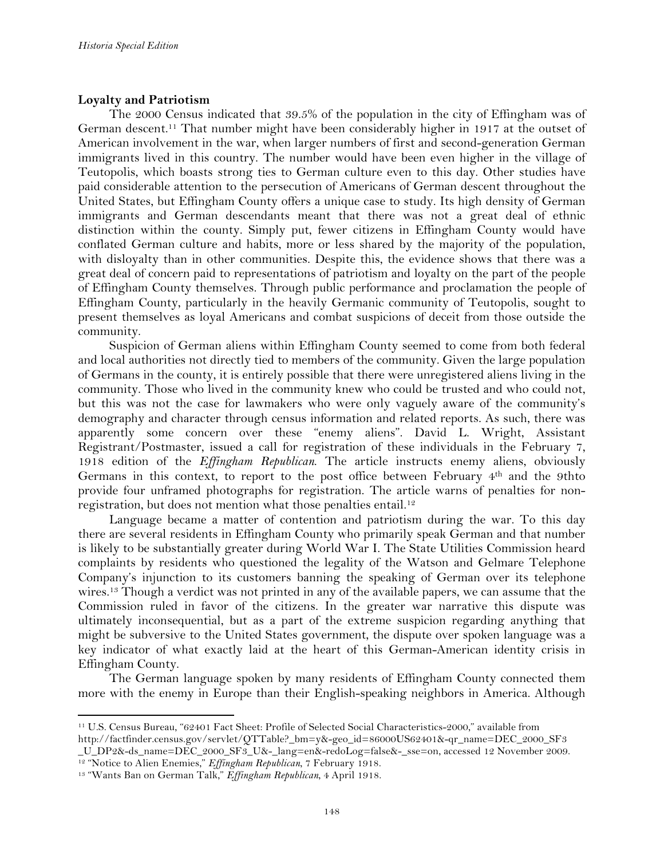# **Loyalty and Patriotism**

The 2000 Census indicated that 39.5% of the population in the city of Effingham was of German descent.11 That number might have been considerably higher in 1917 at the outset of American involvement in the war, when larger numbers of first and second-generation German immigrants lived in this country. The number would have been even higher in the village of Teutopolis, which boasts strong ties to German culture even to this day. Other studies have paid considerable attention to the persecution of Americans of German descent throughout the United States, but Effingham County offers a unique case to study. Its high density of German immigrants and German descendants meant that there was not a great deal of ethnic distinction within the county. Simply put, fewer citizens in Effingham County would have conflated German culture and habits, more or less shared by the majority of the population, with disloyalty than in other communities. Despite this, the evidence shows that there was a great deal of concern paid to representations of patriotism and loyalty on the part of the people of Effingham County themselves. Through public performance and proclamation the people of Effingham County, particularly in the heavily Germanic community of Teutopolis, sought to present themselves as loyal Americans and combat suspicions of deceit from those outside the community.

Suspicion of German aliens within Effingham County seemed to come from both federal and local authorities not directly tied to members of the community. Given the large population of Germans in the county, it is entirely possible that there were unregistered aliens living in the community. Those who lived in the community knew who could be trusted and who could not, but this was not the case for lawmakers who were only vaguely aware of the community's demography and character through census information and related reports. As such, there was apparently some concern over these "enemy aliens". David L. Wright, Assistant Registrant/Postmaster, issued a call for registration of these individuals in the February 7, 1918 edition of the *Effingham Republican*. The article instructs enemy aliens, obviously Germans in this context, to report to the post office between February 4th and the 9thto provide four unframed photographs for registration. The article warns of penalties for nonregistration, but does not mention what those penalties entail.12

Language became a matter of contention and patriotism during the war. To this day there are several residents in Effingham County who primarily speak German and that number is likely to be substantially greater during World War I. The State Utilities Commission heard complaints by residents who questioned the legality of the Watson and Gelmare Telephone Company's injunction to its customers banning the speaking of German over its telephone wires.13 Though a verdict was not printed in any of the available papers, we can assume that the Commission ruled in favor of the citizens. In the greater war narrative this dispute was ultimately inconsequential, but as a part of the extreme suspicion regarding anything that might be subversive to the United States government, the dispute over spoken language was a key indicator of what exactly laid at the heart of this German-American identity crisis in Effingham County.

The German language spoken by many residents of Effingham County connected them more with the enemy in Europe than their English-speaking neighbors in America. Although

<sup>11</sup> U.S. Census Bureau, "62401 Fact Sheet: Profile of Selected Social Characteristics-2000," available from http://factfinder.census.gov/servlet/QTTable?\_bm=y&-geo\_id=86000US62401&-qr\_name=DEC\_2000\_SF3 \_U\_DP2&-ds\_name=DEC\_2000\_SF3\_U&-\_lang=en&-redoLog=false&-\_sse=on, accessed 12 November 2009.

<sup>12</sup> "Notice to Alien Enemies," *Effingham Republican*, 7 February 1918.

<sup>13</sup> "Wants Ban on German Talk," *Effingham Republican*, 4 April 1918.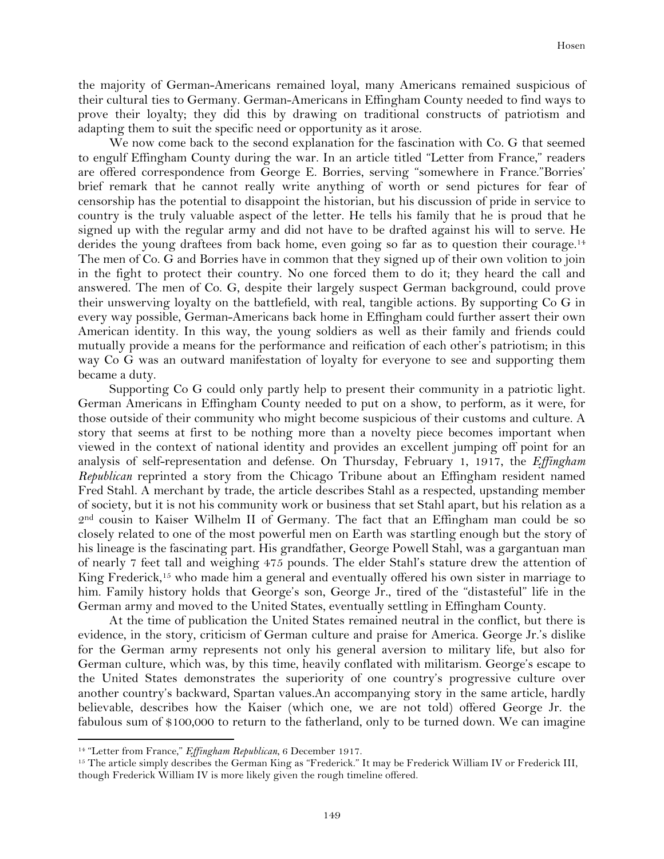the majority of German-Americans remained loyal, many Americans remained suspicious of their cultural ties to Germany. German-Americans in Effingham County needed to find ways to prove their loyalty; they did this by drawing on traditional constructs of patriotism and adapting them to suit the specific need or opportunity as it arose.

We now come back to the second explanation for the fascination with Co. G that seemed to engulf Effingham County during the war. In an article titled "Letter from France," readers are offered correspondence from George E. Borries, serving "somewhere in France."Borries' brief remark that he cannot really write anything of worth or send pictures for fear of censorship has the potential to disappoint the historian, but his discussion of pride in service to country is the truly valuable aspect of the letter. He tells his family that he is proud that he signed up with the regular army and did not have to be drafted against his will to serve. He derides the young draftees from back home, even going so far as to question their courage.<sup>14</sup> The men of Co. G and Borries have in common that they signed up of their own volition to join in the fight to protect their country. No one forced them to do it; they heard the call and answered. The men of Co. G, despite their largely suspect German background, could prove their unswerving loyalty on the battlefield, with real, tangible actions. By supporting Co G in every way possible, German-Americans back home in Effingham could further assert their own American identity. In this way, the young soldiers as well as their family and friends could mutually provide a means for the performance and reification of each other's patriotism; in this way Co G was an outward manifestation of loyalty for everyone to see and supporting them became a duty.

Supporting Co G could only partly help to present their community in a patriotic light. German Americans in Effingham County needed to put on a show, to perform, as it were, for those outside of their community who might become suspicious of their customs and culture. A story that seems at first to be nothing more than a novelty piece becomes important when viewed in the context of national identity and provides an excellent jumping off point for an analysis of self-representation and defense. On Thursday, February 1, 1917, the *Effingham Republican* reprinted a story from the Chicago Tribune about an Effingham resident named Fred Stahl. A merchant by trade, the article describes Stahl as a respected, upstanding member of society, but it is not his community work or business that set Stahl apart, but his relation as a 2nd cousin to Kaiser Wilhelm II of Germany. The fact that an Effingham man could be so closely related to one of the most powerful men on Earth was startling enough but the story of his lineage is the fascinating part. His grandfather, George Powell Stahl, was a gargantuan man of nearly 7 feet tall and weighing 475 pounds. The elder Stahl's stature drew the attention of King Frederick,<sup>15</sup> who made him a general and eventually offered his own sister in marriage to him. Family history holds that George's son, George Jr., tired of the "distasteful" life in the German army and moved to the United States, eventually settling in Effingham County.

At the time of publication the United States remained neutral in the conflict, but there is evidence, in the story, criticism of German culture and praise for America. George Jr.'s dislike for the German army represents not only his general aversion to military life, but also for German culture, which was, by this time, heavily conflated with militarism. George's escape to the United States demonstrates the superiority of one country's progressive culture over another country's backward, Spartan values.An accompanying story in the same article, hardly believable, describes how the Kaiser (which one, we are not told) offered George Jr. the fabulous sum of \$100,000 to return to the fatherland, only to be turned down. We can imagine

<sup>14</sup> "Letter from France," *Effingham Republican*, 6 December 1917.

<sup>15</sup> The article simply describes the German King as "Frederick." It may be Frederick William IV or Frederick III, though Frederick William IV is more likely given the rough timeline offered.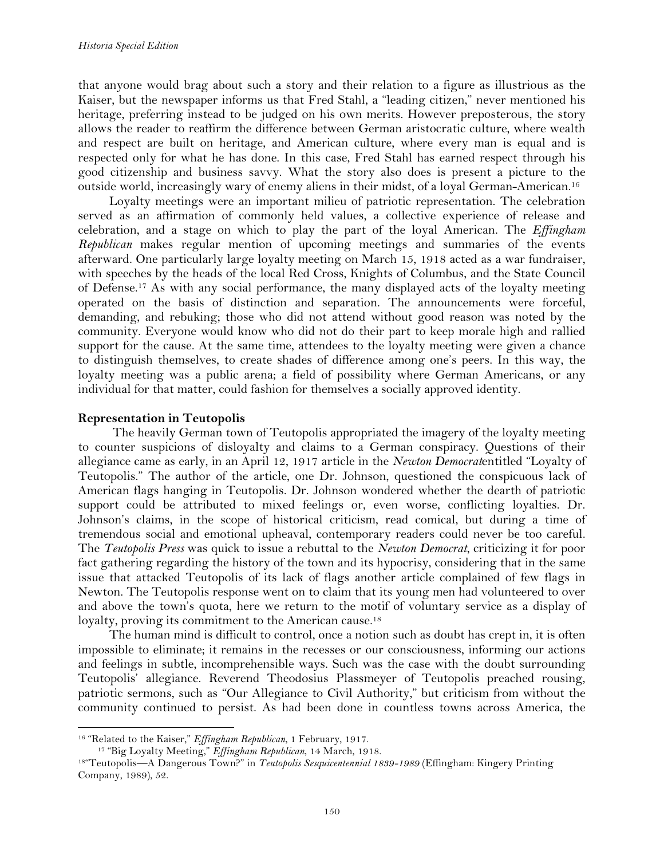that anyone would brag about such a story and their relation to a figure as illustrious as the Kaiser, but the newspaper informs us that Fred Stahl, a "leading citizen," never mentioned his heritage, preferring instead to be judged on his own merits. However preposterous, the story allows the reader to reaffirm the difference between German aristocratic culture, where wealth and respect are built on heritage, and American culture, where every man is equal and is respected only for what he has done. In this case, Fred Stahl has earned respect through his good citizenship and business savvy. What the story also does is present a picture to the outside world, increasingly wary of enemy aliens in their midst, of a loyal German-American.16

Loyalty meetings were an important milieu of patriotic representation. The celebration served as an affirmation of commonly held values, a collective experience of release and celebration, and a stage on which to play the part of the loyal American. The *Effingham Republican* makes regular mention of upcoming meetings and summaries of the events afterward. One particularly large loyalty meeting on March 15, 1918 acted as a war fundraiser, with speeches by the heads of the local Red Cross, Knights of Columbus, and the State Council of Defense.17 As with any social performance, the many displayed acts of the loyalty meeting operated on the basis of distinction and separation. The announcements were forceful, demanding, and rebuking; those who did not attend without good reason was noted by the community. Everyone would know who did not do their part to keep morale high and rallied support for the cause. At the same time, attendees to the loyalty meeting were given a chance to distinguish themselves, to create shades of difference among one's peers. In this way, the loyalty meeting was a public arena; a field of possibility where German Americans, or any individual for that matter, could fashion for themselves a socially approved identity.

## **Representation in Teutopolis**

!!!!!!!!!!!!!!!!!!!!!!!!!!!!!!!!!!!!!!!!!!!!!!!!!!!!!!!!!!!!

The heavily German town of Teutopolis appropriated the imagery of the loyalty meeting to counter suspicions of disloyalty and claims to a German conspiracy. Questions of their allegiance came as early, in an April 12, 1917 article in the *Newton Democrat*entitled "Loyalty of Teutopolis." The author of the article, one Dr. Johnson, questioned the conspicuous lack of American flags hanging in Teutopolis. Dr. Johnson wondered whether the dearth of patriotic support could be attributed to mixed feelings or, even worse, conflicting loyalties. Dr. Johnson's claims, in the scope of historical criticism, read comical, but during a time of tremendous social and emotional upheaval, contemporary readers could never be too careful. The *Teutopolis Press* was quick to issue a rebuttal to the *Newton Democrat*, criticizing it for poor fact gathering regarding the history of the town and its hypocrisy, considering that in the same issue that attacked Teutopolis of its lack of flags another article complained of few flags in Newton. The Teutopolis response went on to claim that its young men had volunteered to over and above the town's quota, here we return to the motif of voluntary service as a display of loyalty, proving its commitment to the American cause.<sup>18</sup>

The human mind is difficult to control, once a notion such as doubt has crept in, it is often impossible to eliminate; it remains in the recesses or our consciousness, informing our actions and feelings in subtle, incomprehensible ways. Such was the case with the doubt surrounding Teutopolis' allegiance. Reverend Theodosius Plassmeyer of Teutopolis preached rousing, patriotic sermons, such as "Our Allegiance to Civil Authority," but criticism from without the community continued to persist. As had been done in countless towns across America, the

<sup>16</sup> "Related to the Kaiser," *Effingham Republican*, 1 February, 1917.

<sup>17</sup> "Big Loyalty Meeting," *Effingham Republican*, 14 March, 1918.

<sup>18&</sup>quot;Teutopolis—A Dangerous Town?" in *Teutopolis Sesquicentennial 1839-1989* (Effingham: Kingery Printing Company, 1989), 52.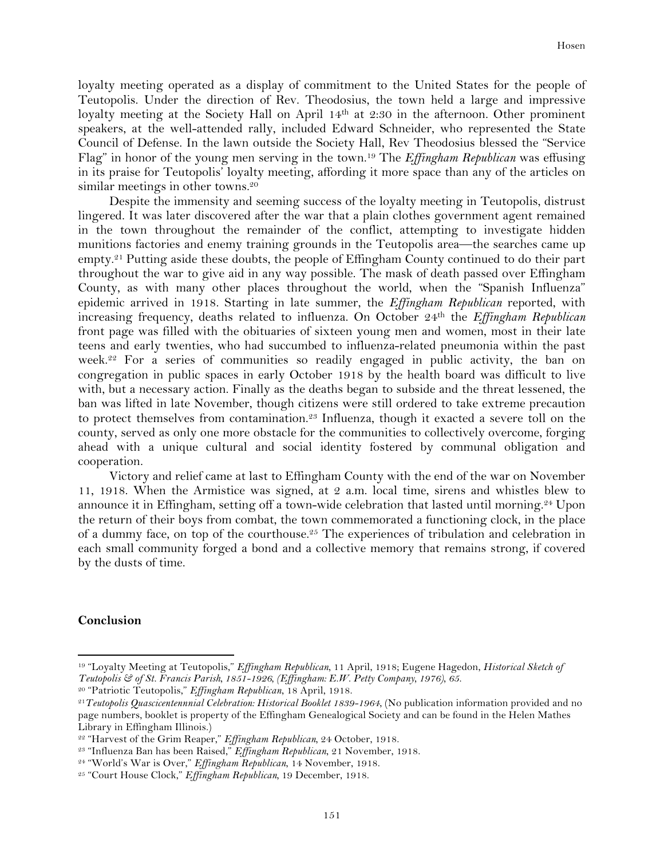loyalty meeting operated as a display of commitment to the United States for the people of Teutopolis. Under the direction of Rev. Theodosius, the town held a large and impressive loyalty meeting at the Society Hall on April 14<sup>th</sup> at 2:30 in the afternoon. Other prominent speakers, at the well-attended rally, included Edward Schneider, who represented the State Council of Defense. In the lawn outside the Society Hall, Rev Theodosius blessed the "Service Flag" in honor of the young men serving in the town.19 The *Effingham Republican* was effusing in its praise for Teutopolis' loyalty meeting, affording it more space than any of the articles on similar meetings in other towns.<sup>20</sup>

Despite the immensity and seeming success of the loyalty meeting in Teutopolis, distrust lingered. It was later discovered after the war that a plain clothes government agent remained in the town throughout the remainder of the conflict, attempting to investigate hidden munitions factories and enemy training grounds in the Teutopolis area—the searches came up empty.<sup>21</sup> Putting aside these doubts, the people of Effingham County continued to do their part throughout the war to give aid in any way possible. The mask of death passed over Effingham County, as with many other places throughout the world, when the "Spanish Influenza" epidemic arrived in 1918. Starting in late summer, the *Effingham Republican* reported, with increasing frequency, deaths related to influenza. On October 24th the *Effingham Republican*  front page was filled with the obituaries of sixteen young men and women, most in their late teens and early twenties, who had succumbed to influenza-related pneumonia within the past week.<sup>22</sup> For a series of communities so readily engaged in public activity, the ban on congregation in public spaces in early October 1918 by the health board was difficult to live with, but a necessary action. Finally as the deaths began to subside and the threat lessened, the ban was lifted in late November, though citizens were still ordered to take extreme precaution to protect themselves from contamination.23 Influenza, though it exacted a severe toll on the county, served as only one more obstacle for the communities to collectively overcome, forging ahead with a unique cultural and social identity fostered by communal obligation and cooperation.

Victory and relief came at last to Effingham County with the end of the war on November 11, 1918. When the Armistice was signed, at 2 a.m. local time, sirens and whistles blew to announce it in Effingham, setting off a town-wide celebration that lasted until morning.24 Upon the return of their boys from combat, the town commemorated a functioning clock, in the place of a dummy face, on top of the courthouse.<sup>25</sup> The experiences of tribulation and celebration in each small community forged a bond and a collective memory that remains strong, if covered by the dusts of time.

#### **Conclusion**

<sup>19</sup> "Loyalty Meeting at Teutopolis," *Effingham Republican,* 11 April, 1918; Eugene Hagedon, *Historical Sketch of Teutopolis & of St. Francis Parish, 1851-1926, (Effingham: E.W. Petty Company, 1976), 65.*

<sup>20</sup> "Patriotic Teutopolis," *Effingham Republican*, 18 April, 1918.

<sup>21</sup>*Teutopolis Quascicentennnial Celebration: Historical Booklet 1839-1964*, (No publication information provided and no page numbers, booklet is property of the Effingham Genealogical Society and can be found in the Helen Mathes Library in Effingham Illinois.)

<sup>22</sup> "Harvest of the Grim Reaper," *Effingham Republican,* 24 October, 1918.

<sup>23</sup> "Influenza Ban has been Raised," *Effingham Republican*, 21 November, 1918.

<sup>24</sup> "World's War is Over," *Effingham Republican*, 14 November, 1918.

<sup>25</sup> "Court House Clock," *Effingham Republican,* 19 December, 1918.